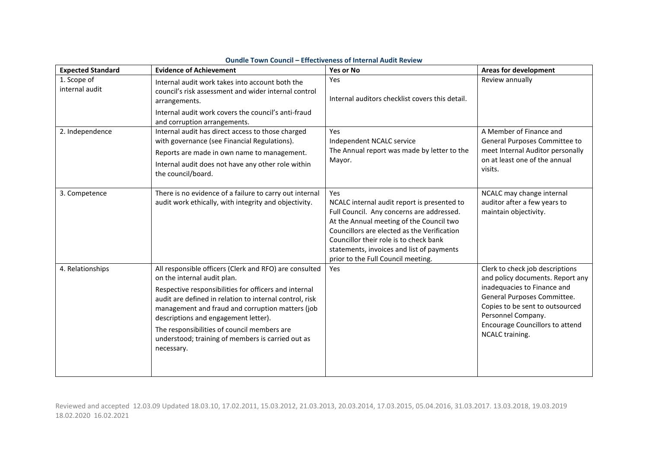| <b>Expected Standard</b>      | <b>Evidence of Achievement</b>                                                                                                                                                                                                                                                                                                                                                                                          | Yes or No                                                                                                                                                                                                                                                                                                               | <b>Areas for development</b>                                                                                                                                                                                                                            |
|-------------------------------|-------------------------------------------------------------------------------------------------------------------------------------------------------------------------------------------------------------------------------------------------------------------------------------------------------------------------------------------------------------------------------------------------------------------------|-------------------------------------------------------------------------------------------------------------------------------------------------------------------------------------------------------------------------------------------------------------------------------------------------------------------------|---------------------------------------------------------------------------------------------------------------------------------------------------------------------------------------------------------------------------------------------------------|
| 1. Scope of<br>internal audit | Internal audit work takes into account both the<br>council's risk assessment and wider internal control<br>arrangements.<br>Internal audit work covers the council's anti-fraud<br>and corruption arrangements.                                                                                                                                                                                                         | Yes<br>Internal auditors checklist covers this detail.                                                                                                                                                                                                                                                                  | Review annually                                                                                                                                                                                                                                         |
| 2. Independence               | Internal audit has direct access to those charged<br>with governance (see Financial Regulations).<br>Reports are made in own name to management.<br>Internal audit does not have any other role within<br>the council/board.                                                                                                                                                                                            | Yes<br>Independent NCALC service<br>The Annual report was made by letter to the<br>Mayor.                                                                                                                                                                                                                               | A Member of Finance and<br>General Purposes Committee to<br>meet Internal Auditor personally<br>on at least one of the annual<br>visits.                                                                                                                |
| 3. Competence                 | There is no evidence of a failure to carry out internal<br>audit work ethically, with integrity and objectivity.                                                                                                                                                                                                                                                                                                        | Yes<br>NCALC internal audit report is presented to<br>Full Council. Any concerns are addressed.<br>At the Annual meeting of the Council two<br>Councillors are elected as the Verification<br>Councillor their role is to check bank<br>statements, invoices and list of payments<br>prior to the Full Council meeting. | NCALC may change internal<br>auditor after a few years to<br>maintain objectivity.                                                                                                                                                                      |
| 4. Relationships              | All responsible officers (Clerk and RFO) are consulted<br>on the internal audit plan.<br>Respective responsibilities for officers and internal<br>audit are defined in relation to internal control, risk<br>management and fraud and corruption matters (job<br>descriptions and engagement letter).<br>The responsibilities of council members are<br>understood; training of members is carried out as<br>necessary. | Yes                                                                                                                                                                                                                                                                                                                     | Clerk to check job descriptions<br>and policy documents. Report any<br>inadequacies to Finance and<br>General Purposes Committee.<br>Copies to be sent to outsourced<br>Personnel Company.<br><b>Encourage Councillors to attend</b><br>NCALC training. |

## **Oundle Town Council – Effectiveness of Internal Audit Review**

Reviewed and accepted 12.03.09 Updated 18.03.10, 17.02.2011, 15.03.2012, 21.03.2013, 20.03.2014, 17.03.2015, 05.04.2016, 31.03.2017. 13.03.2018, 19.03.2019 18.02.2020 16.02.2021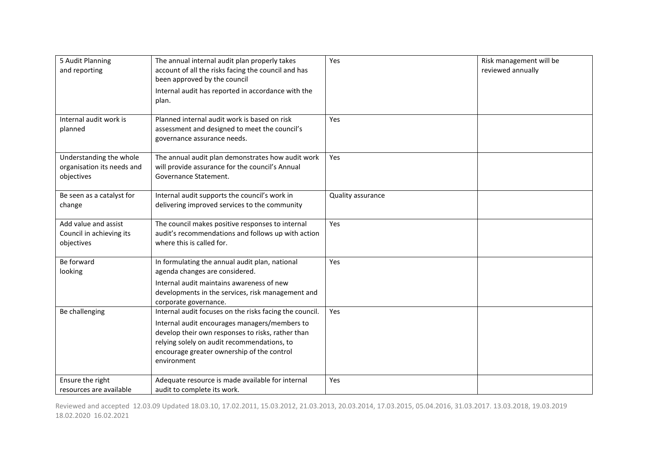| 5 Audit Planning<br>and reporting                                   | The annual internal audit plan properly takes<br>account of all the risks facing the council and has<br>been approved by the council<br>Internal audit has reported in accordance with the<br>plan.                                                                       | Yes               | Risk management will be<br>reviewed annually |
|---------------------------------------------------------------------|---------------------------------------------------------------------------------------------------------------------------------------------------------------------------------------------------------------------------------------------------------------------------|-------------------|----------------------------------------------|
| Internal audit work is<br>planned                                   | Planned internal audit work is based on risk<br>assessment and designed to meet the council's<br>governance assurance needs.                                                                                                                                              | Yes               |                                              |
| Understanding the whole<br>organisation its needs and<br>objectives | The annual audit plan demonstrates how audit work<br>will provide assurance for the council's Annual<br>Governance Statement.                                                                                                                                             | Yes               |                                              |
| Be seen as a catalyst for<br>change                                 | Internal audit supports the council's work in<br>delivering improved services to the community                                                                                                                                                                            | Quality assurance |                                              |
| Add value and assist<br>Council in achieving its<br>objectives      | The council makes positive responses to internal<br>audit's recommendations and follows up with action<br>where this is called for.                                                                                                                                       | Yes               |                                              |
| Be forward<br>looking                                               | In formulating the annual audit plan, national<br>agenda changes are considered.<br>Internal audit maintains awareness of new<br>developments in the services, risk management and<br>corporate governance.                                                               | <b>Yes</b>        |                                              |
| Be challenging                                                      | Internal audit focuses on the risks facing the council.<br>Internal audit encourages managers/members to<br>develop their own responses to risks, rather than<br>relying solely on audit recommendations, to<br>encourage greater ownership of the control<br>environment | Yes               |                                              |
| Ensure the right<br>resources are available                         | Adequate resource is made available for internal<br>audit to complete its work.                                                                                                                                                                                           | Yes               |                                              |

Reviewed and accepted 12.03.09 Updated 18.03.10, 17.02.2011, 15.03.2012, 21.03.2013, 20.03.2014, 17.03.2015, 05.04.2016, 31.03.2017. 13.03.2018, 19.03.2019 18.02.2020 16.02.2021